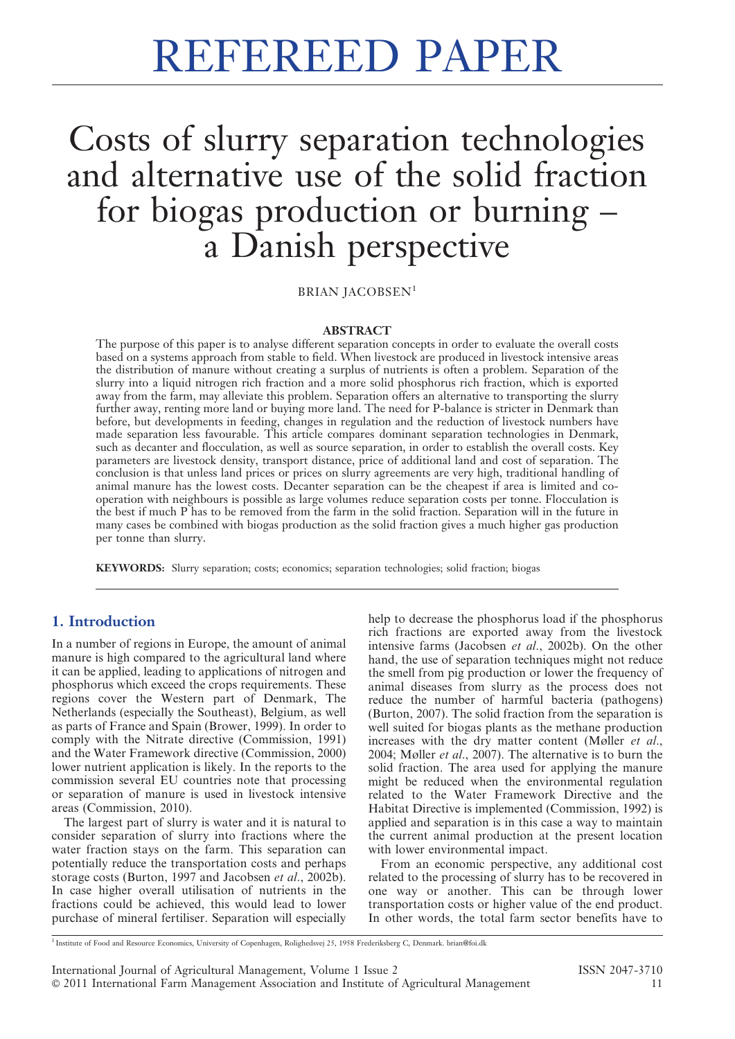# Costs of slurry separation technologies and alternative use of the solid fraction for biogas production or burning – a Danish perspective

BRIAN JACOBSEN<sup>1</sup>

#### ABSTRACT

The purpose of this paper is to analyse different separation concepts in order to evaluate the overall costs based on a systems approach from stable to field. When livestock are produced in livestock intensive areas the distribution of manure without creating a surplus of nutrients is often a problem. Separation of the slurry into a liquid nitrogen rich fraction and a more solid phosphorus rich fraction, which is exported away from the farm, may alleviate this problem. Separation offers an alternative to transporting the slurry further away, renting more land or buying more land. The need for P-balance is stricter in Denmark than before, but developments in feeding, changes in regulation and the reduction of livestock numbers have made separation less favourable. This article compares dominant separation technologies in Denmark, such as decanter and flocculation, as well as source separation, in order to establish the overall costs. Key parameters are livestock density, transport distance, price of additional land and cost of separation. The conclusion is that unless land prices or prices on slurry agreements are very high, traditional handling of animal manure has the lowest costs. Decanter separation can be the cheapest if area is limited and cooperation with neighbours is possible as large volumes reduce separation costs per tonne. Flocculation is the best if much P has to be removed from the farm in the solid fraction. Separation will in the future in many cases be combined with biogas production as the solid fraction gives a much higher gas production per tonne than slurry.

KEYWORDS: Slurry separation; costs; economics; separation technologies; solid fraction; biogas

# 1. Introduction

In a number of regions in Europe, the amount of animal manure is high compared to the agricultural land where it can be applied, leading to applications of nitrogen and phosphorus which exceed the crops requirements. These regions cover the Western part of Denmark, The Netherlands (especially the Southeast), Belgium, as well as parts of France and Spain (Brower, 1999). In order to comply with the Nitrate directive (Commission, 1991) and the Water Framework directive (Commission, 2000) lower nutrient application is likely. In the reports to the commission several EU countries note that processing or separation of manure is used in livestock intensive areas (Commission, 2010).

The largest part of slurry is water and it is natural to consider separation of slurry into fractions where the water fraction stays on the farm. This separation can potentially reduce the transportation costs and perhaps storage costs (Burton, 1997 and Jacobsen et al., 2002b). In case higher overall utilisation of nutrients in the fractions could be achieved, this would lead to lower purchase of mineral fertiliser. Separation will especially

help to decrease the phosphorus load if the phosphorus rich fractions are exported away from the livestock intensive farms (Jacobsen et al., 2002b). On the other hand, the use of separation techniques might not reduce the smell from pig production or lower the frequency of animal diseases from slurry as the process does not reduce the number of harmful bacteria (pathogens) (Burton, 2007). The solid fraction from the separation is well suited for biogas plants as the methane production increases with the dry matter content (Møller et al., 2004; Møller et al., 2007). The alternative is to burn the solid fraction. The area used for applying the manure might be reduced when the environmental regulation related to the Water Framework Directive and the Habitat Directive is implemented (Commission, 1992) is applied and separation is in this case a way to maintain the current animal production at the present location with lower environmental impact.

From an economic perspective, any additional cost related to the processing of slurry has to be recovered in one way or another. This can be through lower transportation costs or higher value of the end product. In other words, the total farm sector benefits have to

<sup>1</sup> Institute of Food and Resource Economics, University of Copenhagen, Rolighedsvej 25, 1958 Frederiksberg C, Denmark. brian@foi.dk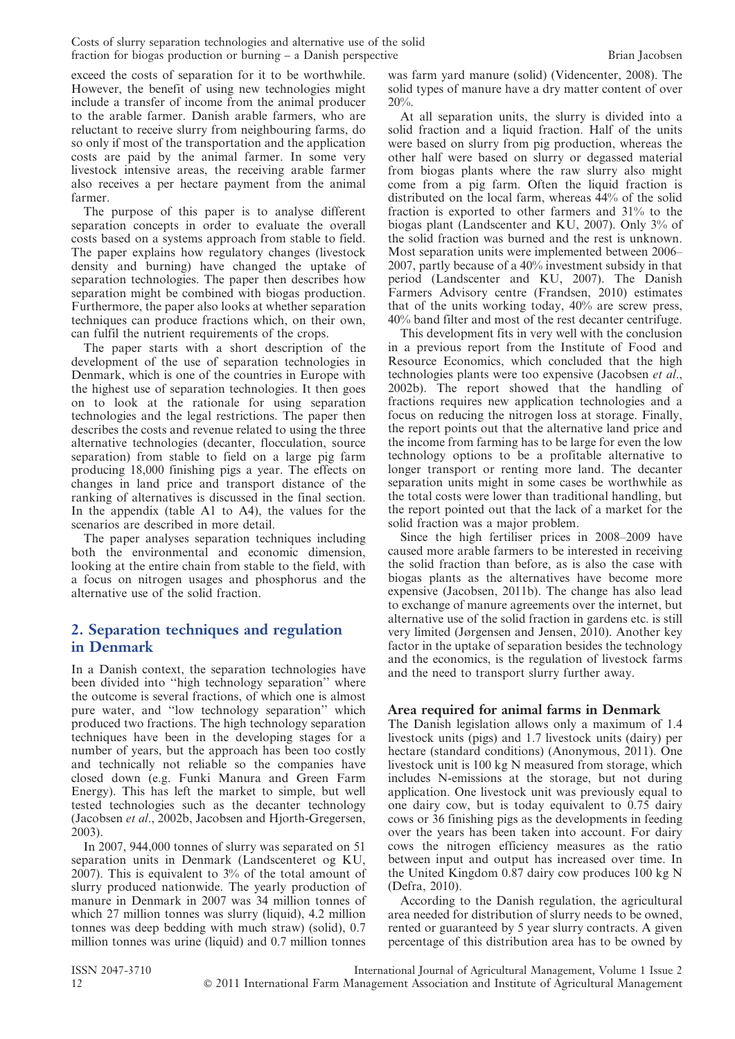exceed the costs of separation for it to be worthwhile. However, the benefit of using new technologies might include a transfer of income from the animal producer to the arable farmer. Danish arable farmers, who are reluctant to receive slurry from neighbouring farms, do so only if most of the transportation and the application costs are paid by the animal farmer. In some very livestock intensive areas, the receiving arable farmer also receives a per hectare payment from the animal farmer.

The purpose of this paper is to analyse different separation concepts in order to evaluate the overall costs based on a systems approach from stable to field. The paper explains how regulatory changes (livestock density and burning) have changed the uptake of separation technologies. The paper then describes how separation might be combined with biogas production. Furthermore, the paper also looks at whether separation techniques can produce fractions which, on their own, can fulfil the nutrient requirements of the crops.

The paper starts with a short description of the development of the use of separation technologies in Denmark, which is one of the countries in Europe with the highest use of separation technologies. It then goes on to look at the rationale for using separation technologies and the legal restrictions. The paper then describes the costs and revenue related to using the three alternative technologies (decanter, flocculation, source separation) from stable to field on a large pig farm producing 18,000 finishing pigs a year. The effects on changes in land price and transport distance of the ranking of alternatives is discussed in the final section. In the appendix (table A1 to A4), the values for the scenarios are described in more detail.

The paper analyses separation techniques including both the environmental and economic dimension, looking at the entire chain from stable to the field, with a focus on nitrogen usages and phosphorus and the alternative use of the solid fraction.

# 2. Separation techniques and regulation in Denmark

In a Danish context, the separation technologies have been divided into ''high technology separation'' where the outcome is several fractions, of which one is almost pure water, and ''low technology separation'' which produced two fractions. The high technology separation techniques have been in the developing stages for a number of years, but the approach has been too costly and technically not reliable so the companies have closed down (e.g. Funki Manura and Green Farm Energy). This has left the market to simple, but well tested technologies such as the decanter technology (Jacobsen et al., 2002b, Jacobsen and Hjorth-Gregersen, 2003).

In 2007, 944,000 tonnes of slurry was separated on 51 separation units in Denmark (Landscenteret og KU, 2007). This is equivalent to 3% of the total amount of slurry produced nationwide. The yearly production of manure in Denmark in 2007 was 34 million tonnes of which 27 million tonnes was slurry (liquid), 4.2 million tonnes was deep bedding with much straw) (solid), 0.7 million tonnes was urine (liquid) and 0.7 million tonnes was farm yard manure (solid) (Videncenter, 2008). The solid types of manure have a dry matter content of over 20%.

At all separation units, the slurry is divided into a solid fraction and a liquid fraction. Half of the units were based on slurry from pig production, whereas the other half were based on slurry or degassed material from biogas plants where the raw slurry also might come from a pig farm. Often the liquid fraction is distributed on the local farm, whereas 44% of the solid fraction is exported to other farmers and 31% to the biogas plant (Landscenter and KU, 2007). Only 3% of the solid fraction was burned and the rest is unknown. Most separation units were implemented between 2006– 2007, partly because of a 40% investment subsidy in that period (Landscenter and KU, 2007). The Danish Farmers Advisory centre (Frandsen, 2010) estimates that of the units working today, 40% are screw press, 40% band filter and most of the rest decanter centrifuge.

This development fits in very well with the conclusion in a previous report from the Institute of Food and Resource Economics, which concluded that the high technologies plants were too expensive (Jacobsen et al., 2002b). The report showed that the handling of fractions requires new application technologies and a focus on reducing the nitrogen loss at storage. Finally, the report points out that the alternative land price and the income from farming has to be large for even the low technology options to be a profitable alternative to longer transport or renting more land. The decanter separation units might in some cases be worthwhile as the total costs were lower than traditional handling, but the report pointed out that the lack of a market for the solid fraction was a major problem.

Since the high fertiliser prices in 2008–2009 have caused more arable farmers to be interested in receiving the solid fraction than before, as is also the case with biogas plants as the alternatives have become more expensive (Jacobsen, 2011b). The change has also lead to exchange of manure agreements over the internet, but alternative use of the solid fraction in gardens etc. is still very limited (Jørgensen and Jensen, 2010). Another key factor in the uptake of separation besides the technology and the economics, is the regulation of livestock farms and the need to transport slurry further away.

### Area required for animal farms in Denmark

The Danish legislation allows only a maximum of 1.4 livestock units (pigs) and 1.7 livestock units (dairy) per hectare (standard conditions) (Anonymous, 2011). One livestock unit is 100 kg N measured from storage, which includes N-emissions at the storage, but not during application. One livestock unit was previously equal to one dairy cow, but is today equivalent to 0.75 dairy cows or 36 finishing pigs as the developments in feeding over the years has been taken into account. For dairy cows the nitrogen efficiency measures as the ratio between input and output has increased over time. In the United Kingdom 0.87 dairy cow produces 100 kg N (Defra, 2010).

According to the Danish regulation, the agricultural area needed for distribution of slurry needs to be owned, rented or guaranteed by 5 year slurry contracts. A given percentage of this distribution area has to be owned by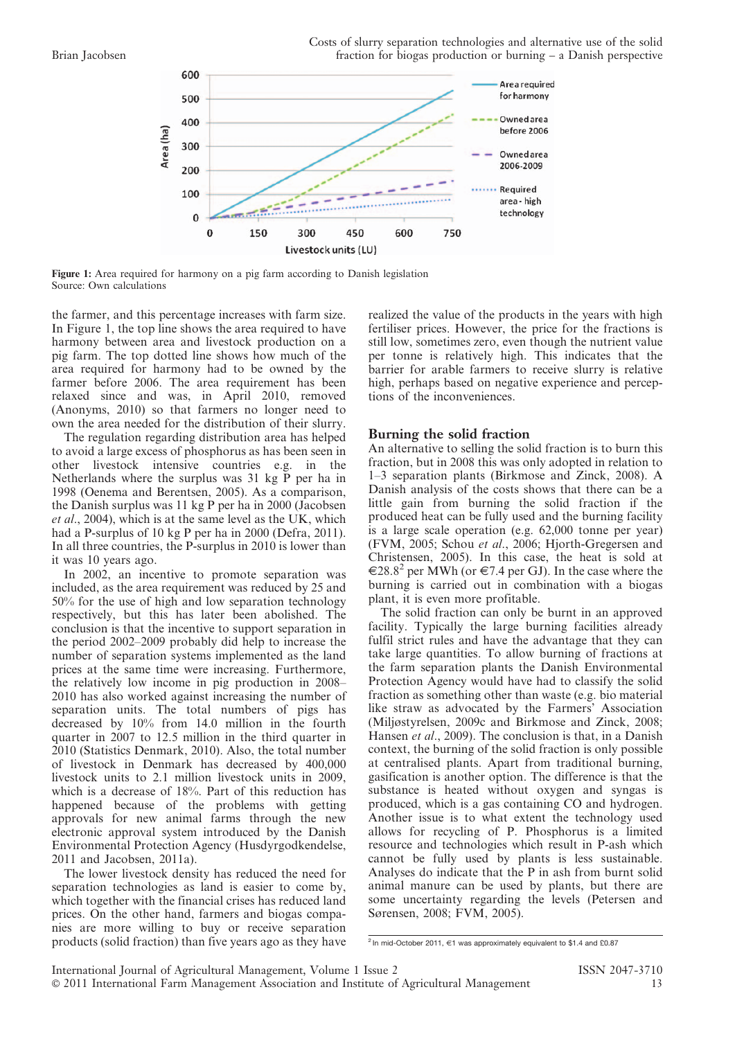

Figure 1: Area required for harmony on a pig farm according to Danish legislation Source: Own calculations

the farmer, and this percentage increases with farm size. In Figure 1, the top line shows the area required to have harmony between area and livestock production on a pig farm. The top dotted line shows how much of the area required for harmony had to be owned by the farmer before 2006. The area requirement has been relaxed since and was, in April 2010, removed (Anonyms, 2010) so that farmers no longer need to own the area needed for the distribution of their slurry.

The regulation regarding distribution area has helped to avoid a large excess of phosphorus as has been seen in other livestock intensive countries e.g. in the Netherlands where the surplus was 31 kg P per ha in 1998 (Oenema and Berentsen, 2005). As a comparison, the Danish surplus was 11 kg P per ha in 2000 (Jacobsen et al., 2004), which is at the same level as the UK, which had a P-surplus of 10 kg P per ha in 2000 (Defra, 2011). In all three countries, the P-surplus in 2010 is lower than it was 10 years ago.

In 2002, an incentive to promote separation was included, as the area requirement was reduced by 25 and 50% for the use of high and low separation technology respectively, but this has later been abolished. The conclusion is that the incentive to support separation in the period 2002–2009 probably did help to increase the number of separation systems implemented as the land prices at the same time were increasing. Furthermore, the relatively low income in pig production in 2008– 2010 has also worked against increasing the number of separation units. The total numbers of pigs has decreased by 10% from 14.0 million in the fourth quarter in 2007 to 12.5 million in the third quarter in 2010 (Statistics Denmark, 2010). Also, the total number of livestock in Denmark has decreased by 400,000 livestock units to 2.1 million livestock units in 2009, which is a decrease of 18%. Part of this reduction has happened because of the problems with getting approvals for new animal farms through the new electronic approval system introduced by the Danish Environmental Protection Agency (Husdyrgodkendelse, 2011 and Jacobsen, 2011a).

The lower livestock density has reduced the need for separation technologies as land is easier to come by, which together with the financial crises has reduced land prices. On the other hand, farmers and biogas companies are more willing to buy or receive separation products (solid fraction) than five years ago as they have

realized the value of the products in the years with high fertiliser prices. However, the price for the fractions is still low, sometimes zero, even though the nutrient value per tonne is relatively high. This indicates that the barrier for arable farmers to receive slurry is relative high, perhaps based on negative experience and perceptions of the inconveniences.

#### Burning the solid fraction

An alternative to selling the solid fraction is to burn this fraction, but in 2008 this was only adopted in relation to 1–3 separation plants (Birkmose and Zinck, 2008). A Danish analysis of the costs shows that there can be a little gain from burning the solid fraction if the produced heat can be fully used and the burning facility is a large scale operation (e.g. 62,000 tonne per year) (FVM, 2005; Schou et al., 2006; Hjorth-Gregersen and Christensen, 2005). In this case, the heat is sold at  $\epsilon$ 28.8<sup>2</sup> per MWh (or  $\epsilon$ 7.4 per GJ). In the case where the burning is carried out in combination with a biogas plant, it is even more profitable.

The solid fraction can only be burnt in an approved facility. Typically the large burning facilities already fulfil strict rules and have the advantage that they can take large quantities. To allow burning of fractions at the farm separation plants the Danish Environmental Protection Agency would have had to classify the solid fraction as something other than waste (e.g. bio material like straw as advocated by the Farmers' Association (Miljøstyrelsen, 2009c and Birkmose and Zinck, 2008; Hansen et al., 2009). The conclusion is that, in a Danish context, the burning of the solid fraction is only possible at centralised plants. Apart from traditional burning, gasification is another option. The difference is that the substance is heated without oxygen and syngas is produced, which is a gas containing CO and hydrogen. Another issue is to what extent the technology used allows for recycling of P. Phosphorus is a limited resource and technologies which result in P-ash which cannot be fully used by plants is less sustainable. Analyses do indicate that the P in ash from burnt solid animal manure can be used by plants, but there are some uncertainty regarding the levels (Petersen and Sørensen, 2008; FVM, 2005).

<sup>&</sup>lt;sup>2</sup> In mid-October 2011, €1 was approximately equivalent to \$1.4 and £0.87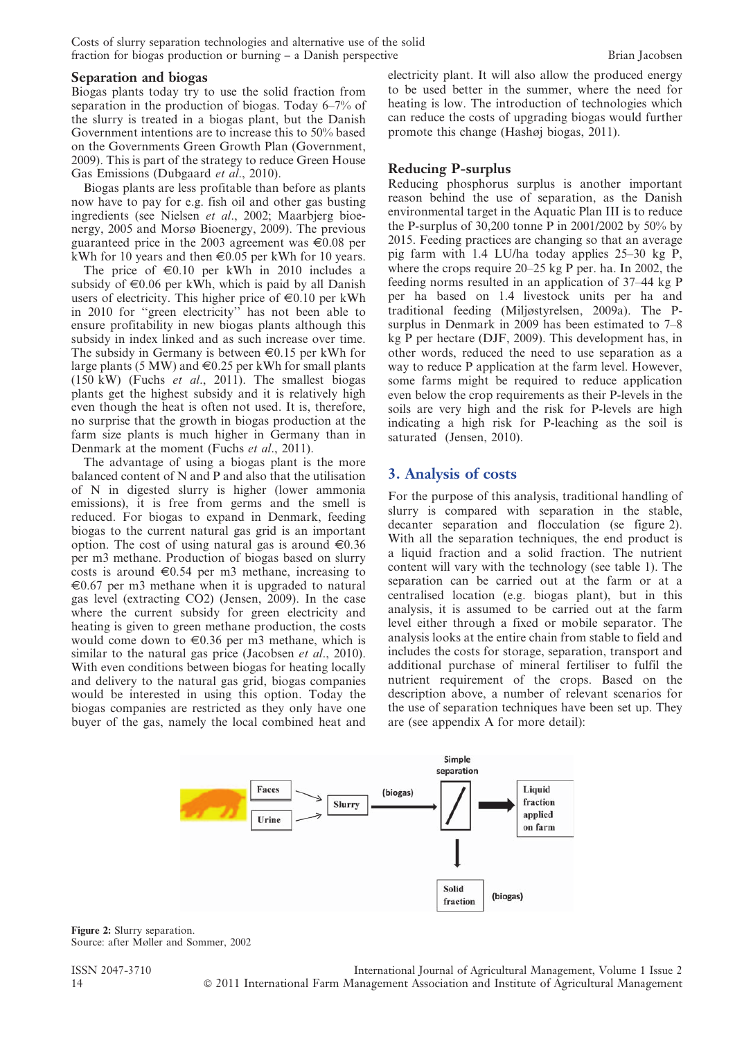Costs of slurry separation technologies and alternative use of the solid fraction for biogas production or burning – a Danish perspective Brian Jacobsen

Biogas plants today try to use the solid fraction from separation in the production of biogas. Today 6–7% of the slurry is treated in a biogas plant, but the Danish Government intentions are to increase this to 50% based on the Governments Green Growth Plan (Government, 2009). This is part of the strategy to reduce Green House Gas Emissions (Dubgaard et al., 2010).

Biogas plants are less profitable than before as plants now have to pay for e.g. fish oil and other gas busting ingredients (see Nielsen et al., 2002; Maarbjerg bioenergy, 2005 and Morsø Bioenergy, 2009). The previous guaranteed price in the 2003 agreement was  $\in 0.08$  per kWh for 10 years and then  $\in 0.05$  per kWh for 10 years.

The price of  $\epsilon 0.10$  per kWh in 2010 includes a subsidy of  $\epsilon 0.06$  per kWh, which is paid by all Danish users of electricity. This higher price of  $\in 0.10$  per kWh in 2010 for ''green electricity'' has not been able to ensure profitability in new biogas plants although this subsidy in index linked and as such increase over time. The subsidy in Germany is between  $\in 0.15$  per kWh for large plants (5 MW) and  $\in 0.25$  per kWh for small plants  $(150 \text{ kW})$  (Fuchs *et al.*, 2011). The smallest biogas plants get the highest subsidy and it is relatively high even though the heat is often not used. It is, therefore, no surprise that the growth in biogas production at the farm size plants is much higher in Germany than in Denmark at the moment (Fuchs *et al.*, 2011).

The advantage of using a biogas plant is the more balanced content of N and P and also that the utilisation of N in digested slurry is higher (lower ammonia emissions), it is free from germs and the smell is reduced. For biogas to expand in Denmark, feeding biogas to the current natural gas grid is an important option. The cost of using natural gas is around  $\epsilon 0.36$ per m3 methane. Production of biogas based on slurry costs is around  $\in 0.54$  per m3 methane, increasing to  $\epsilon$ 0.67 per m3 methane when it is upgraded to natural gas level (extracting CO2) (Jensen, 2009). In the case where the current subsidy for green electricity and heating is given to green methane production, the costs would come down to  $\in 0.36$  per m3 methane, which is similar to the natural gas price (Jacobsen *et al.*, 2010). With even conditions between biogas for heating locally and delivery to the natural gas grid, biogas companies would be interested in using this option. Today the biogas companies are restricted as they only have one buyer of the gas, namely the local combined heat and electricity plant. It will also allow the produced energy to be used better in the summer, where the need for heating is low. The introduction of technologies which can reduce the costs of upgrading biogas would further promote this change (Hashøj biogas, 2011).

#### Reducing P-surplus

Reducing phosphorus surplus is another important reason behind the use of separation, as the Danish environmental target in the Aquatic Plan III is to reduce the P-surplus of 30,200 tonne P in 2001/2002 by 50% by 2015. Feeding practices are changing so that an average pig farm with 1.4 LU/ha today applies 25–30 kg P, where the crops require 20–25 kg P per. ha. In 2002, the feeding norms resulted in an application of 37–44 kg P per ha based on 1.4 livestock units per ha and traditional feeding (Miljøstyrelsen, 2009a). The Psurplus in Denmark in 2009 has been estimated to 7–8 kg P per hectare (DJF, 2009). This development has, in other words, reduced the need to use separation as a way to reduce P application at the farm level. However, some farms might be required to reduce application even below the crop requirements as their P-levels in the soils are very high and the risk for P-levels are high indicating a high risk for P-leaching as the soil is saturated (Jensen, 2010).

# 3. Analysis of costs

For the purpose of this analysis, traditional handling of slurry is compared with separation in the stable, decanter separation and flocculation (se figure 2). With all the separation techniques, the end product is a liquid fraction and a solid fraction. The nutrient content will vary with the technology (see table 1). The separation can be carried out at the farm or at a centralised location (e.g. biogas plant), but in this analysis, it is assumed to be carried out at the farm level either through a fixed or mobile separator. The analysis looks at the entire chain from stable to field and includes the costs for storage, separation, transport and additional purchase of mineral fertiliser to fulfil the nutrient requirement of the crops. Based on the description above, a number of relevant scenarios for the use of separation techniques have been set up. They are (see appendix A for more detail):



Figure 2: Slurry separation. Source: after Møller and Sommer, 2002

ISSN 2047-3710 International Journal of Agricultural Management, Volume 1 Issue 2 14 **C** 2011 International Farm Management Association and Institute of Agricultural Management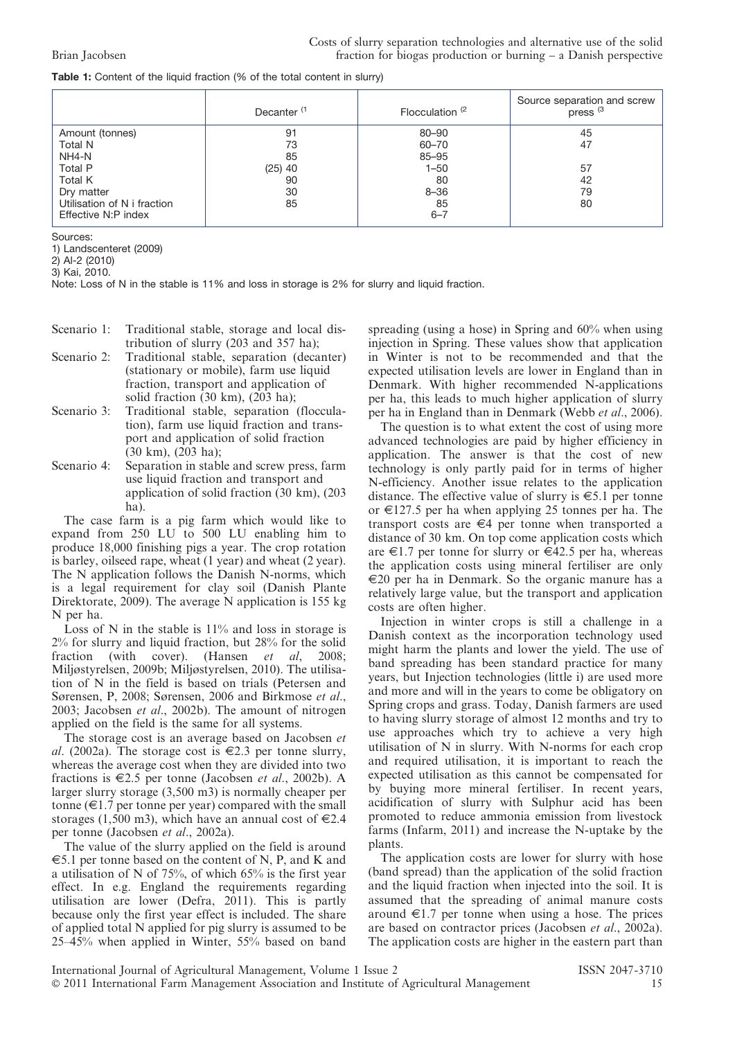| Table 1: Content of the liquid fraction (% of the total content in slurry) |  |
|----------------------------------------------------------------------------|--|
|----------------------------------------------------------------------------|--|

|                             | Decanter <sup>(1</sup> | Flocculation <sup>(2</sup> | Source separation and screw<br>press <sup>(3</sup> |
|-----------------------------|------------------------|----------------------------|----------------------------------------------------|
| Amount (tonnes)             | 91                     | $80 - 90$                  | 45                                                 |
| Total N                     | 73                     | $60 - 70$                  | 47                                                 |
| NH4-N                       | 85                     | 85-95                      |                                                    |
| Total P                     | $(25)$ 40              | 1–50                       | 57                                                 |
| Total K                     | 90                     | 80                         | 42                                                 |
| Dry matter                  | 30                     | $8 - 36$                   | 79                                                 |
| Utilisation of N i fraction | 85                     | 85                         | 80                                                 |
| Effective N:P index         |                        | $6 - 7$                    |                                                    |

Sources:

1) Landscenteret (2009)

2) Al-2 (2010)

3) Kai, 2010.

Note: Loss of N in the stable is 11% and loss in storage is 2% for slurry and liquid fraction.

- Scenario 1: Traditional stable, storage and local distribution of slurry (203 and 357 ha);
- Scenario 2: Traditional stable, separation (decanter) (stationary or mobile), farm use liquid fraction, transport and application of solid fraction (30 km), (203 ha);
- Scenario 3: Traditional stable, separation (flocculation), farm use liquid fraction and transport and application of solid fraction (30 km), (203 ha);
- Scenario 4: Separation in stable and screw press, farm use liquid fraction and transport and application of solid fraction (30 km), (203 ha).

The case farm is a pig farm which would like to expand from 250 LU to 500 LU enabling him to produce 18,000 finishing pigs a year. The crop rotation is barley, oilseed rape, wheat (1 year) and wheat (2 year). The N application follows the Danish N-norms, which is a legal requirement for clay soil (Danish Plante Direktorate, 2009). The average N application is 155 kg N per ha.

Loss of N in the stable is  $11\%$  and loss in storage is 2% for slurry and liquid fraction, but 28% for the solid fraction (with cover). (Hansen et al, 2008; Miljøstyrelsen, 2009b; Miljøstyrelsen, 2010). The utilisation of N in the field is based on trials (Petersen and Sørensen, P, 2008; Sørensen, 2006 and Birkmose et al., 2003; Jacobsen et al., 2002b). The amount of nitrogen applied on the field is the same for all systems.

The storage cost is an average based on Jacobsen et al. (2002a). The storage cost is  $\in 2.3$  per tonne slurry, whereas the average cost when they are divided into two fractions is  $\in$ 2.5 per tonne (Jacobsen *et al.*, 2002b). A larger slurry storage (3,500 m3) is normally cheaper per tonne  $(\infty 1.7$  per tonne per year) compared with the small storages (1,500 m3), which have an annual cost of  $\in 2.4$ per tonne (Jacobsen et al., 2002a).

The value of the slurry applied on the field is around  $\epsilon$ 5.1 per tonne based on the content of N, P, and K and a utilisation of N of 75%, of which 65% is the first year effect. In e.g. England the requirements regarding utilisation are lower (Defra, 2011). This is partly because only the first year effect is included. The share of applied total N applied for pig slurry is assumed to be 25–45% when applied in Winter, 55% based on band

spreading (using a hose) in Spring and 60% when using injection in Spring. These values show that application in Winter is not to be recommended and that the expected utilisation levels are lower in England than in Denmark. With higher recommended N-applications per ha, this leads to much higher application of slurry per ha in England than in Denmark (Webb et al., 2006).

The question is to what extent the cost of using more advanced technologies are paid by higher efficiency in application. The answer is that the cost of new technology is only partly paid for in terms of higher N-efficiency. Another issue relates to the application distance. The effective value of slurry is  $\epsilon$ 5.1 per tonne or  $\in$ 127.5 per ha when applying 25 tonnes per ha. The transport costs are  $\epsilon$ 4 per tonne when transported a distance of 30 km. On top come application costs which are  $\epsilon$ 1.7 per tonne for slurry or  $\epsilon$ 42.5 per ha, whereas the application costs using mineral fertiliser are only  $\epsilon$ 20 per ha in Denmark. So the organic manure has a relatively large value, but the transport and application costs are often higher.

Injection in winter crops is still a challenge in a Danish context as the incorporation technology used might harm the plants and lower the yield. The use of band spreading has been standard practice for many years, but Injection technologies (little i) are used more and more and will in the years to come be obligatory on Spring crops and grass. Today, Danish farmers are used to having slurry storage of almost 12 months and try to use approaches which try to achieve a very high utilisation of N in slurry. With N-norms for each crop and required utilisation, it is important to reach the expected utilisation as this cannot be compensated for by buying more mineral fertiliser. In recent years, acidification of slurry with Sulphur acid has been promoted to reduce ammonia emission from livestock farms (Infarm, 2011) and increase the N-uptake by the plants.

The application costs are lower for slurry with hose (band spread) than the application of the solid fraction and the liquid fraction when injected into the soil. It is assumed that the spreading of animal manure costs around  $\in$ 1.7 per tonne when using a hose. The prices are based on contractor prices (Jacobsen et al., 2002a). The application costs are higher in the eastern part than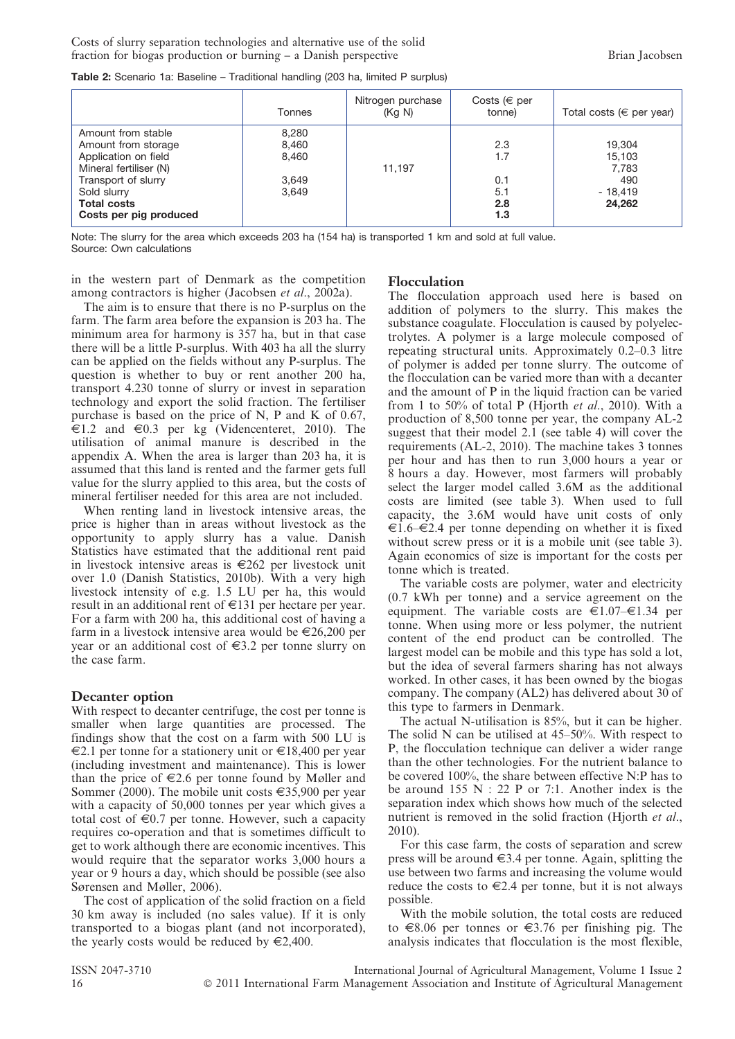| <b>Table 2:</b> Scenario 1a: Baseline – Traditional handling (203 ha, limited P surplus) |  |  |  |  |
|------------------------------------------------------------------------------------------|--|--|--|--|
|------------------------------------------------------------------------------------------|--|--|--|--|

|                                                                                                                                                                                   | Tonnes                                    | Nitrogen purchase<br>(Kq N) | Costs ( $\in$ per<br>tonne)            | Total costs ( $\in$ per year)                           |
|-----------------------------------------------------------------------------------------------------------------------------------------------------------------------------------|-------------------------------------------|-----------------------------|----------------------------------------|---------------------------------------------------------|
| Amount from stable<br>Amount from storage<br>Application on field<br>Mineral fertiliser (N)<br>Transport of slurry<br>Sold slurry<br><b>Total costs</b><br>Costs per pig produced | 8,280<br>8,460<br>8,460<br>3,649<br>3,649 | 11.197                      | 2.3<br>1.7<br>0.1<br>5.1<br>2.8<br>1.3 | 19,304<br>15,103<br>7,783<br>490<br>$-18,419$<br>24,262 |

Note: The slurry for the area which exceeds 203 ha (154 ha) is transported 1 km and sold at full value. Source: Own calculations

in the western part of Denmark as the competition among contractors is higher (Jacobsen et al., 2002a).

The aim is to ensure that there is no P-surplus on the farm. The farm area before the expansion is 203 ha. The minimum area for harmony is 357 ha, but in that case there will be a little P-surplus. With 403 ha all the slurry can be applied on the fields without any P-surplus. The question is whether to buy or rent another 200 ha, transport 4.230 tonne of slurry or invest in separation technology and export the solid fraction. The fertiliser purchase is based on the price of N, P and K of 0.67,  $\in$ 1.2 and  $\in$ 0.3 per kg (Videncenteret, 2010). The utilisation of animal manure is described in the appendix A. When the area is larger than 203 ha, it is assumed that this land is rented and the farmer gets full value for the slurry applied to this area, but the costs of mineral fertiliser needed for this area are not included.

When renting land in livestock intensive areas, the price is higher than in areas without livestock as the opportunity to apply slurry has a value. Danish Statistics have estimated that the additional rent paid in livestock intensive areas is  $\epsilon$ 262 per livestock unit over 1.0 (Danish Statistics, 2010b). With a very high livestock intensity of e.g. 1.5 LU per ha, this would result in an additional rent of  $\in$ 131 per hectare per year. For a farm with 200 ha, this additional cost of having a farm in a livestock intensive area would be  $\in 26,200$  per year or an additional cost of  $\epsilon$ 3.2 per tonne slurry on the case farm.

#### Decanter option

With respect to decanter centrifuge, the cost per tonne is smaller when large quantities are processed. The findings show that the cost on a farm with 500 LU is  $\epsilon$ 2.1 per tonne for a stationery unit or  $\epsilon$ 18,400 per year (including investment and maintenance). This is lower than the price of  $\in 2.6$  per tonne found by Møller and Sommer (2000). The mobile unit costs  $\epsilon$ 35,900 per year with a capacity of 50,000 tonnes per year which gives a total cost of  $\epsilon 0.7$  per tonne. However, such a capacity requires co-operation and that is sometimes difficult to get to work although there are economic incentives. This would require that the separator works 3,000 hours a year or 9 hours a day, which should be possible (see also Sørensen and Møller, 2006).

The cost of application of the solid fraction on a field 30 km away is included (no sales value). If it is only transported to a biogas plant (and not incorporated), the yearly costs would be reduced by  $\in 2,400$ .

#### Flocculation

The flocculation approach used here is based on addition of polymers to the slurry. This makes the substance coagulate. Flocculation is caused by polyelectrolytes. A polymer is a large molecule composed of repeating structural units. Approximately 0.2–0.3 litre of polymer is added per tonne slurry. The outcome of the flocculation can be varied more than with a decanter and the amount of P in the liquid fraction can be varied from 1 to 50% of total P (Hjorth *et al.*, 2010). With a production of 8,500 tonne per year, the company AL-2 suggest that their model 2.1 (see table 4) will cover the requirements (AL-2, 2010). The machine takes 3 tonnes per hour and has then to run 3,000 hours a year or 8 hours a day. However, most farmers will probably select the larger model called 3.6M as the additional costs are limited (see table 3). When used to full capacity, the 3.6M would have unit costs of only  $\epsilon$ 1.6– $\epsilon$ 2.4 per tonne depending on whether it is fixed without screw press or it is a mobile unit (see table 3). Again economics of size is important for the costs per tonne which is treated.

The variable costs are polymer, water and electricity (0.7 kWh per tonne) and a service agreement on the equipment. The variable costs are  $\epsilon$ 1.07– $\epsilon$ 1.34 per tonne. When using more or less polymer, the nutrient content of the end product can be controlled. The largest model can be mobile and this type has sold a lot, but the idea of several farmers sharing has not always worked. In other cases, it has been owned by the biogas company. The company (AL2) has delivered about 30 of this type to farmers in Denmark.

The actual N-utilisation is 85%, but it can be higher. The solid N can be utilised at 45–50%. With respect to P, the flocculation technique can deliver a wider range than the other technologies. For the nutrient balance to be covered 100%, the share between effective N:P has to be around 155 N : 22 P or 7:1. Another index is the separation index which shows how much of the selected nutrient is removed in the solid fraction (Hjorth et al., 2010).

For this case farm, the costs of separation and screw press will be around  $\in$ 3.4 per tonne. Again, splitting the use between two farms and increasing the volume would reduce the costs to  $\in 2.4$  per tonne, but it is not always possible.

With the mobile solution, the total costs are reduced to  $\epsilon$ 8.06 per tonnes or  $\epsilon$ 3.76 per finishing pig. The analysis indicates that flocculation is the most flexible,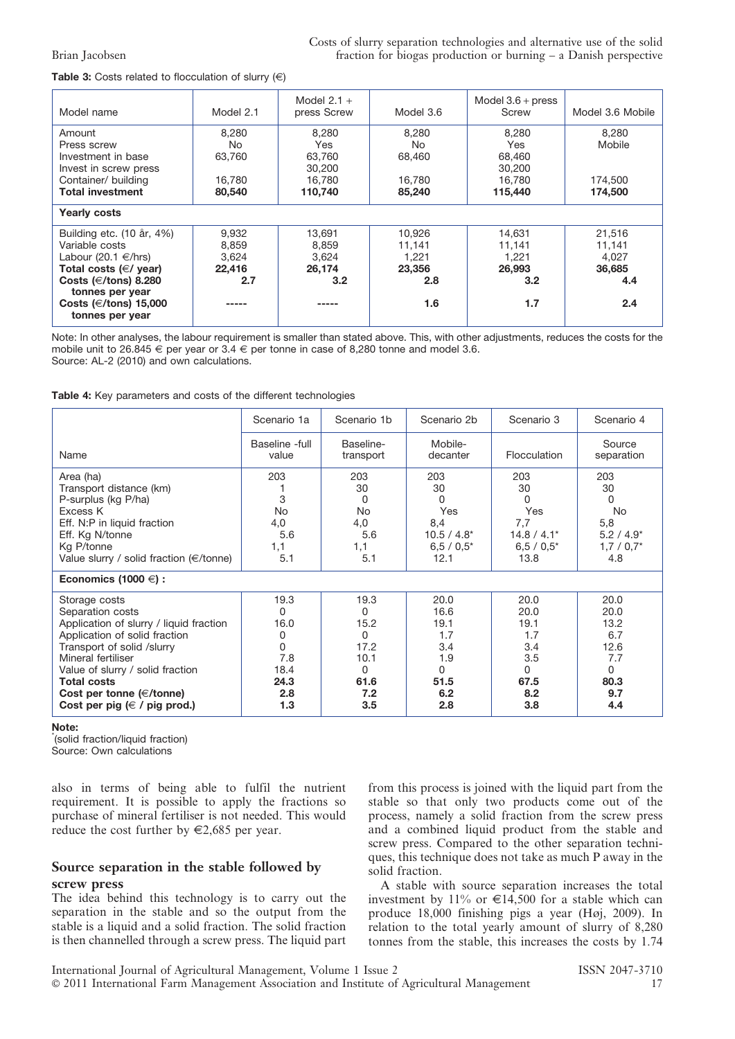#### **Table 3:** Costs related to flocculation of slurry  $(\epsilon)$

| Model name                                                        | Model 2.1        | Model $2.1 +$<br>press Screw | Model 3.6        | Model $3.6 +$ press<br>Screw | Model 3.6 Mobile   |
|-------------------------------------------------------------------|------------------|------------------------------|------------------|------------------------------|--------------------|
| Amount<br>Press screw                                             | 8,280<br>No.     | 8,280<br>Yes                 | 8,280<br>No.     | 8,280<br>Yes                 | 8,280<br>Mobile    |
| Investment in base<br>Invest in screw press                       | 63,760           | 63,760<br>30,200             | 68.460           | 68,460<br>30,200             |                    |
| Container/ building<br><b>Total investment</b>                    | 16.780<br>80,540 | 16.780<br>110,740            | 16.780<br>85,240 | 16.780<br>115,440            | 174,500<br>174,500 |
| <b>Yearly costs</b>                                               |                  |                              |                  |                              |                    |
| Building etc. (10 år, 4%)<br>Variable costs                       | 9,932            | 13,691                       | 10,926           | 14,631                       | 21,516             |
| Labour (20.1 $\in$ /hrs)                                          | 8,859<br>3.624   | 8,859<br>3.624               | 11,141<br>1.221  | 11,141<br>1.221              | 11,141<br>4.027    |
| Total costs $(\in / \text{ year})$                                | 22,416           | 26.174                       | 23,356           | 26,993                       | 36,685             |
| Costs ( $\in$ /tons) 8.280                                        | 2.7              | 3.2                          | 2.8              | 3.2                          | 4.4                |
| tonnes per year<br>Costs ( $\in$ /tons) 15,000<br>tonnes per year |                  |                              | 1.6              | 1.7                          | 2.4                |

Note: In other analyses, the labour requirement is smaller than stated above. This, with other adjustments, reduces the costs for the mobile unit to 26.845  $\in$  per year or 3.4  $\in$  per tonne in case of 8,280 tonne and model 3.6. Source: AL-2 (2010) and own calculations.

#### Table 4: Key parameters and costs of the different technologies

|                                                                                                                                                                                                                                                                                                    | Scenario 1a                                                      | Scenario 1b                                                       | Scenario 2b                                                            | Scenario 3                                                             | Scenario 4                                                            |
|----------------------------------------------------------------------------------------------------------------------------------------------------------------------------------------------------------------------------------------------------------------------------------------------------|------------------------------------------------------------------|-------------------------------------------------------------------|------------------------------------------------------------------------|------------------------------------------------------------------------|-----------------------------------------------------------------------|
| Name                                                                                                                                                                                                                                                                                               | Baseline -full<br>value                                          | Baseline-<br>transport                                            | Mobile-<br>decanter                                                    | Flocculation                                                           | Source<br>separation                                                  |
| Area (ha)<br>Transport distance (km)<br>P-surplus (kg P/ha)<br>Excess K<br>Eff. N:P in liquid fraction<br>Eff. Kg N/tonne<br>Kg P/tonne<br>Value slurry / solid fraction $(\in/$ tonne)                                                                                                            | 203<br>3<br><b>No</b><br>4,0<br>5.6<br>1,1<br>5.1                | 203<br>30<br>0<br>No<br>4,0<br>5.6<br>1,1<br>5.1                  | 203<br>30<br>O<br>Yes<br>8,4<br>$10.5 / 4.8*$<br>$6.5 / 0.5^*$<br>12.1 | 203<br>30<br>0<br>Yes<br>7,7<br>$14.8 / 4.1*$<br>$6.5 / 0.5^*$<br>13.8 | 203<br>30<br>0<br>No.<br>5,8<br>$5.2 / 4.9*$<br>$1,7/0,7$ *<br>4.8    |
| Economics (1000 $\in$ ) :                                                                                                                                                                                                                                                                          |                                                                  |                                                                   |                                                                        |                                                                        |                                                                       |
| Storage costs<br>Separation costs<br>Application of slurry / liquid fraction<br>Application of solid fraction<br>Transport of solid /slurry<br>Mineral fertiliser<br>Value of slurry / solid fraction<br><b>Total costs</b><br>Cost per tonne ( $\in$ /tonne)<br>Cost per pig ( $\in$ / pig prod.) | 19.3<br>0<br>16.0<br>0<br>0<br>7.8<br>18.4<br>24.3<br>2.8<br>1.3 | 19.3<br>0<br>15.2<br>0<br>17.2<br>10.1<br>0<br>61.6<br>7.2<br>3.5 | 20.0<br>16.6<br>19.1<br>1.7<br>3.4<br>1.9<br>0<br>51.5<br>6.2<br>2.8   | 20.0<br>20.0<br>19.1<br>1.7<br>3.4<br>3.5<br>0<br>67.5<br>8.2<br>3.8   | 20.0<br>20.0<br>13.2<br>6.7<br>12.6<br>7.7<br>0<br>80.3<br>9.7<br>4.4 |

Note:

\* (solid fraction/liquid fraction)

Source: Own calculations

also in terms of being able to fulfil the nutrient requirement. It is possible to apply the fractions so purchase of mineral fertiliser is not needed. This would reduce the cost further by  $\in 2,685$  per year.

### Source separation in the stable followed by screw press

The idea behind this technology is to carry out the separation in the stable and so the output from the stable is a liquid and a solid fraction. The solid fraction is then channelled through a screw press. The liquid part

from this process is joined with the liquid part from the stable so that only two products come out of the process, namely a solid fraction from the screw press and a combined liquid product from the stable and screw press. Compared to the other separation techniques, this technique does not take as much P away in the solid fraction.

A stable with source separation increases the total investment by 11% or  $\in$ 14,500 for a stable which can produce 18,000 finishing pigs a year (Høj, 2009). In relation to the total yearly amount of slurry of 8,280 tonnes from the stable, this increases the costs by 1.74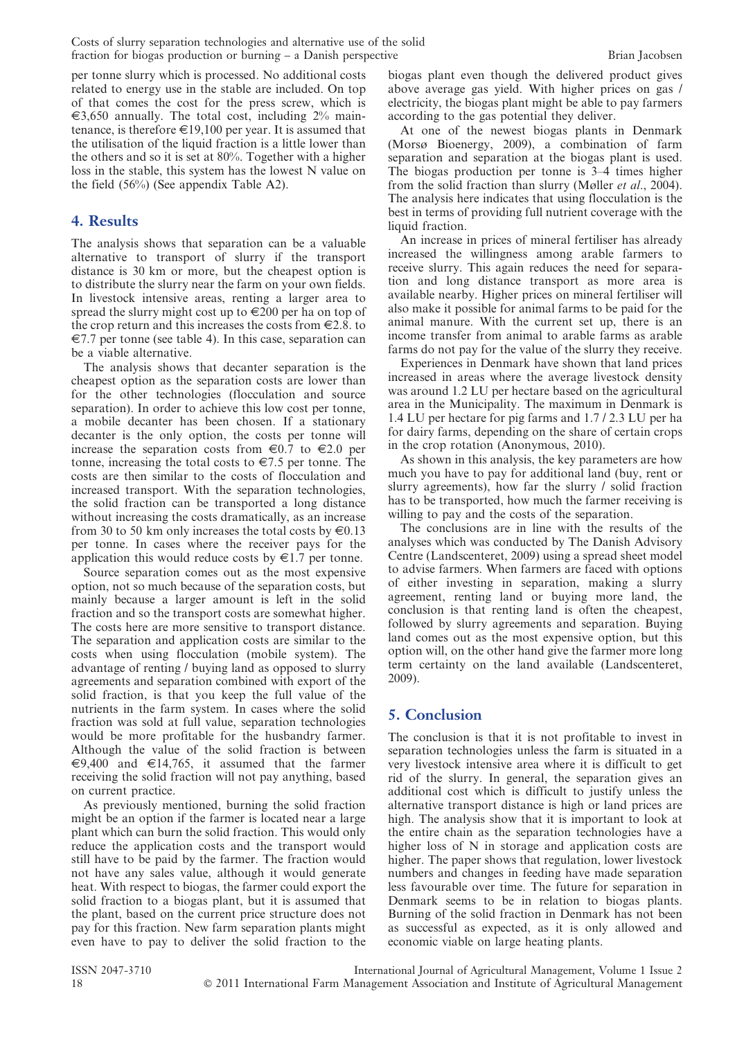Costs of slurry separation technologies and alternative use of the solid fraction for biogas production or burning – a Danish perspective Brian Jacobsen

per tonne slurry which is processed. No additional costs related to energy use in the stable are included. On top of that comes the cost for the press screw, which is  $\epsilon$ 3,650 annually. The total cost, including 2% maintenance, is therefore  $\in$ 19,100 per year. It is assumed that the utilisation of the liquid fraction is a little lower than the others and so it is set at 80%. Together with a higher loss in the stable, this system has the lowest N value on the field (56%) (See appendix Table A2).

# 4. Results

The analysis shows that separation can be a valuable alternative to transport of slurry if the transport distance is 30 km or more, but the cheapest option is to distribute the slurry near the farm on your own fields. In livestock intensive areas, renting a larger area to spread the slurry might cost up to  $\in 200$  per ha on top of the crop return and this increases the costs from  $\in 2.8$ . to  $\epsilon$ 7.7 per tonne (see table 4). In this case, separation can be a viable alternative.

The analysis shows that decanter separation is the cheapest option as the separation costs are lower than for the other technologies (flocculation and source separation). In order to achieve this low cost per tonne, a mobile decanter has been chosen. If a stationary decanter is the only option, the costs per tonne will increase the separation costs from  $\epsilon 0.7$  to  $\epsilon 2.0$  per tonne, increasing the total costs to  $\epsilon$ 7.5 per tonne. The costs are then similar to the costs of flocculation and increased transport. With the separation technologies, the solid fraction can be transported a long distance without increasing the costs dramatically, as an increase from 30 to 50 km only increases the total costs by  $\in 0.13$ per tonne. In cases where the receiver pays for the application this would reduce costs by  $\epsilon$ 1.7 per tonne.

Source separation comes out as the most expensive option, not so much because of the separation costs, but mainly because a larger amount is left in the solid fraction and so the transport costs are somewhat higher. The costs here are more sensitive to transport distance. The separation and application costs are similar to the costs when using flocculation (mobile system). The advantage of renting / buying land as opposed to slurry agreements and separation combined with export of the solid fraction, is that you keep the full value of the nutrients in the farm system. In cases where the solid fraction was sold at full value, separation technologies would be more profitable for the husbandry farmer. Although the value of the solid fraction is between €9,400 and €14,765, it assumed that the farmer receiving the solid fraction will not pay anything, based on current practice.

As previously mentioned, burning the solid fraction might be an option if the farmer is located near a large plant which can burn the solid fraction. This would only reduce the application costs and the transport would still have to be paid by the farmer. The fraction would not have any sales value, although it would generate heat. With respect to biogas, the farmer could export the solid fraction to a biogas plant, but it is assumed that the plant, based on the current price structure does not pay for this fraction. New farm separation plants might even have to pay to deliver the solid fraction to the

biogas plant even though the delivered product gives above average gas yield. With higher prices on gas / electricity, the biogas plant might be able to pay farmers according to the gas potential they deliver.

At one of the newest biogas plants in Denmark (Morsø Bioenergy, 2009), a combination of farm separation and separation at the biogas plant is used. The biogas production per tonne is 3–4 times higher from the solid fraction than slurry (Møller et al., 2004). The analysis here indicates that using flocculation is the best in terms of providing full nutrient coverage with the liquid fraction.

An increase in prices of mineral fertiliser has already increased the willingness among arable farmers to receive slurry. This again reduces the need for separation and long distance transport as more area is available nearby. Higher prices on mineral fertiliser will also make it possible for animal farms to be paid for the animal manure. With the current set up, there is an income transfer from animal to arable farms as arable farms do not pay for the value of the slurry they receive.

Experiences in Denmark have shown that land prices increased in areas where the average livestock density was around 1.2 LU per hectare based on the agricultural area in the Municipality. The maximum in Denmark is 1.4 LU per hectare for pig farms and 1.7 / 2.3 LU per ha for dairy farms, depending on the share of certain crops in the crop rotation (Anonymous, 2010).

As shown in this analysis, the key parameters are how much you have to pay for additional land (buy, rent or slurry agreements), how far the slurry / solid fraction has to be transported, how much the farmer receiving is willing to pay and the costs of the separation.

The conclusions are in line with the results of the analyses which was conducted by The Danish Advisory Centre (Landscenteret, 2009) using a spread sheet model to advise farmers. When farmers are faced with options of either investing in separation, making a slurry agreement, renting land or buying more land, the conclusion is that renting land is often the cheapest, followed by slurry agreements and separation. Buying land comes out as the most expensive option, but this option will, on the other hand give the farmer more long term certainty on the land available (Landscenteret, 2009).

# 5. Conclusion

The conclusion is that it is not profitable to invest in separation technologies unless the farm is situated in a very livestock intensive area where it is difficult to get rid of the slurry. In general, the separation gives an additional cost which is difficult to justify unless the alternative transport distance is high or land prices are high. The analysis show that it is important to look at the entire chain as the separation technologies have a higher loss of N in storage and application costs are higher. The paper shows that regulation, lower livestock numbers and changes in feeding have made separation less favourable over time. The future for separation in Denmark seems to be in relation to biogas plants. Burning of the solid fraction in Denmark has not been as successful as expected, as it is only allowed and economic viable on large heating plants.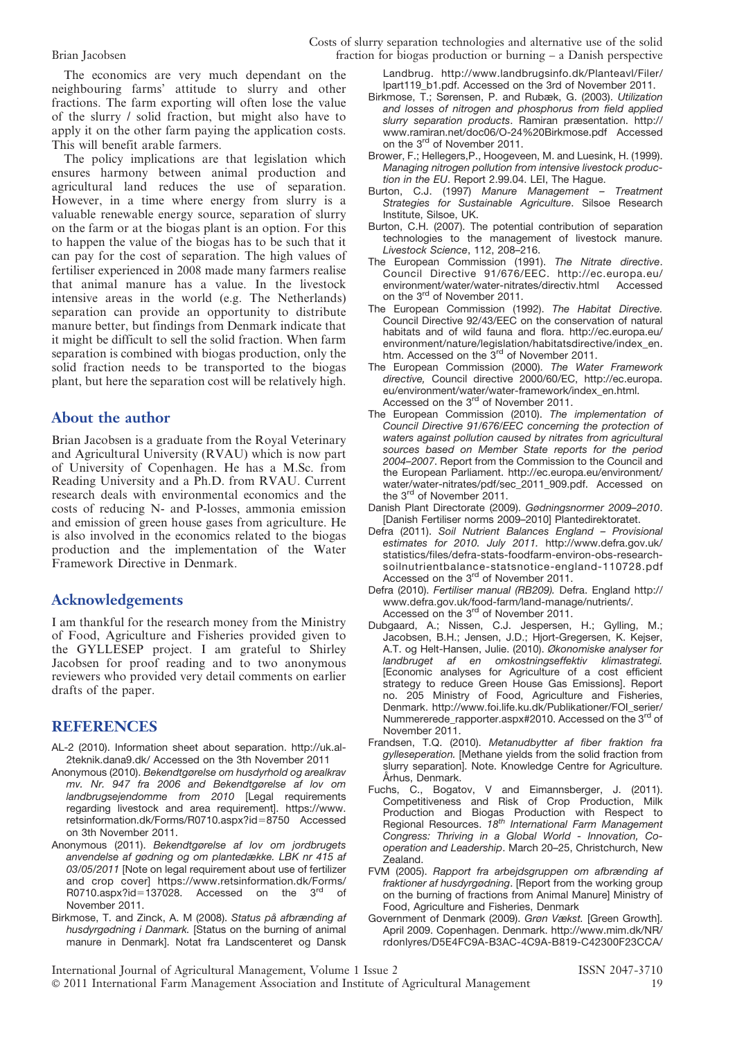The economics are very much dependant on the neighbouring farms' attitude to slurry and other fractions. The farm exporting will often lose the value of the slurry / solid fraction, but might also have to apply it on the other farm paying the application costs. This will benefit arable farmers.

The policy implications are that legislation which ensures harmony between animal production and agricultural land reduces the use of separation. However, in a time where energy from slurry is a valuable renewable energy source, separation of slurry on the farm or at the biogas plant is an option. For this to happen the value of the biogas has to be such that it can pay for the cost of separation. The high values of fertiliser experienced in 2008 made many farmers realise that animal manure has a value. In the livestock intensive areas in the world (e.g. The Netherlands) separation can provide an opportunity to distribute manure better, but findings from Denmark indicate that it might be difficult to sell the solid fraction. When farm separation is combined with biogas production, only the solid fraction needs to be transported to the biogas plant, but here the separation cost will be relatively high.

# About the author

Brian Jacobsen is a graduate from the Royal Veterinary and Agricultural University (RVAU) which is now part of University of Copenhagen. He has a M.Sc. from Reading University and a Ph.D. from RVAU. Current research deals with environmental economics and the costs of reducing N- and P-losses, ammonia emission and emission of green house gases from agriculture. He is also involved in the economics related to the biogas production and the implementation of the Water Framework Directive in Denmark.

# Acknowledgements

I am thankful for the research money from the Ministry of Food, Agriculture and Fisheries provided given to the GYLLESEP project. I am grateful to Shirley Jacobsen for proof reading and to two anonymous reviewers who provided very detail comments on earlier drafts of the paper.

# REFERENCES

- AL-2 (2010). Information sheet about separation. http://uk.al-2teknik.dana9.dk/ Accessed on the 3th November 2011
- Anonymous (2010). Bekendtgørelse om husdyrhold og arealkrav mv. Nr. 947 fra 2006 and Bekendtgørelse af lov om landbrugsejendomme from 2010 [Legal requirements regarding livestock and area requirement]. https://www. retsinformation.dk/Forms/R0710.aspx?id=8750 Accessed on 3th November 2011.
- Anonymous (2011). Bekendtgørelse af lov om jordbrugets anvendelse af gødning og om plantedække. LBK nr 415 af 03/05/2011 [Note on legal requirement about use of fertilizer and crop cover] https://www.retsinformation.dk/Forms/ R0710.aspx?id=137028. Accessed on the 3rd of November 2011.
- Birkmose, T. and Zinck, A. M (2008). Status på afbrænding af husdyrgødning i Danmark. [Status on the burning of animal manure in Denmark]. Notat fra Landscenteret og Dansk

Landbrug. http://www.landbrugsinfo.dk/Planteavl/Filer/ lpart119\_b1.pdf. Accessed on the 3rd of November 2011.

- Birkmose, T.; Sørensen, P. and Rubæk, G. (2003). Utilization and losses of nitrogen and phosphorus from field applied slurry separation products. Ramiran præsentation. http:// www.ramiran.net/doc06/O-24%20Birkmose.pdf Accessed on the 3<sup>rd</sup> of November 2011.
- Brower, F.; Hellegers,P., Hoogeveen, M. and Luesink, H. (1999). Managing nitrogen pollution from intensive livestock production in the EU. Report 2.99.04. LEI, The Hague.
- Burton, C.J. (1997) Manure Management Treatment Strategies for Sustainable Agriculture. Silsoe Research Institute, Silsoe, UK.
- Burton, C.H. (2007). The potential contribution of separation technologies to the management of livestock manure. Livestock Science, 112, 208–216.
- The European Commission (1991). The Nitrate directive. Council Directive 91/676/EEC. http://ec.europa.eu/ environment/water/water-nitrates/directiv.html Accessed on the 3<sup>rd</sup> of November 2011.
- The European Commission (1992). The Habitat Directive. Council Directive 92/43/EEC on the conservation of natural habitats and of wild fauna and flora. http://ec.europa.eu/ environment/nature/legislation/habitatsdirective/index\_en. htm. Accessed on the 3<sup>rd</sup> of November 2011.
- The European Commission (2000). The Water Framework directive, Council directive 2000/60/EC, http://ec.europa. eu/environment/water/water-framework/index\_en.html. Accessed on the 3<sup>rd</sup> of November 2011.
- The European Commission (2010). The implementation of Council Directive 91/676/EEC concerning the protection of waters against pollution caused by nitrates from agricultural sources based on Member State reports for the period 2004–2007. Report from the Commission to the Council and the European Parliament. http://ec.europa.eu/environment/ water/water-nitrates/pdf/sec\_2011\_909.pdf. Accessed on the 3<sup>rd</sup> of November 2011.
- Danish Plant Directorate (2009). Gødningsnormer 2009–2010. [Danish Fertiliser norms 2009–2010] Plantedirektoratet.
- Defra (2011). Soil Nutrient Balances England Provisional estimates for 2010. July 2011. http://www.defra.gov.uk/ statistics/files/defra-stats-foodfarm-environ-obs-researchsoilnutrientbalance-statsnotice-england-110728.pdf Accessed on the 3<sup>rd</sup> of November 2011.
- Defra (2010). Fertiliser manual (RB209). Defra. England http:// www.defra.gov.uk/food-farm/land-manage/nutrients/. Accessed on the 3<sup>rd</sup> of November 2011.
- Dubgaard, A.; Nissen, C.J. Jespersen, H.; Gylling, M.; Jacobsen, B.H.; Jensen, J.D.; Hjort-Gregersen, K. Kejser, A.T. og Helt-Hansen, Julie. (2010). Økonomiske analyser for landbruget af en omkostningseffektiv klimastrategi. [Economic analyses for Agriculture of a cost efficient strategy to reduce Green House Gas Emissions]. Report no. 205 Ministry of Food, Agriculture and Fisheries, Denmark. http://www.foi.life.ku.dk/Publikationer/FOI\_serier/ Nummererede\_rapporter.aspx#2010. Accessed on the 3<sup>rd</sup> of November 2011.
- Frandsen, T.Q. (2010). Metanudbytter af fiber fraktion fra gylleseperation. [Methane yields from the solid fraction from slurry separation]. Note. Knowledge Centre for Agriculture. Århus, Denmark.
- Fuchs, C., Bogatov, V and Eimannsberger, J. (2011). Competitiveness and Risk of Crop Production, Milk Production and Biogas Production with Respect to<br>Regional Resources. 18<sup>th</sup> International Farm Management Congress: Thriving in a Global World - Innovation, Cooperation and Leadership. March 20–25, Christchurch, New Zealand.
- FVM (2005). Rapport fra arbejdsgruppen om afbrænding af fraktioner af husdyrgødning. [Report from the working group on the burning of fractions from Animal Manure] Ministry of Food, Agriculture and Fisheries, Denmark
- Government of Denmark (2009). Grøn Vækst. [Green Growth]. April 2009. Copenhagen. Denmark. http://www.mim.dk/NR/ rdonlyres/D5E4FC9A-B3AC-4C9A-B819-C42300F23CCA/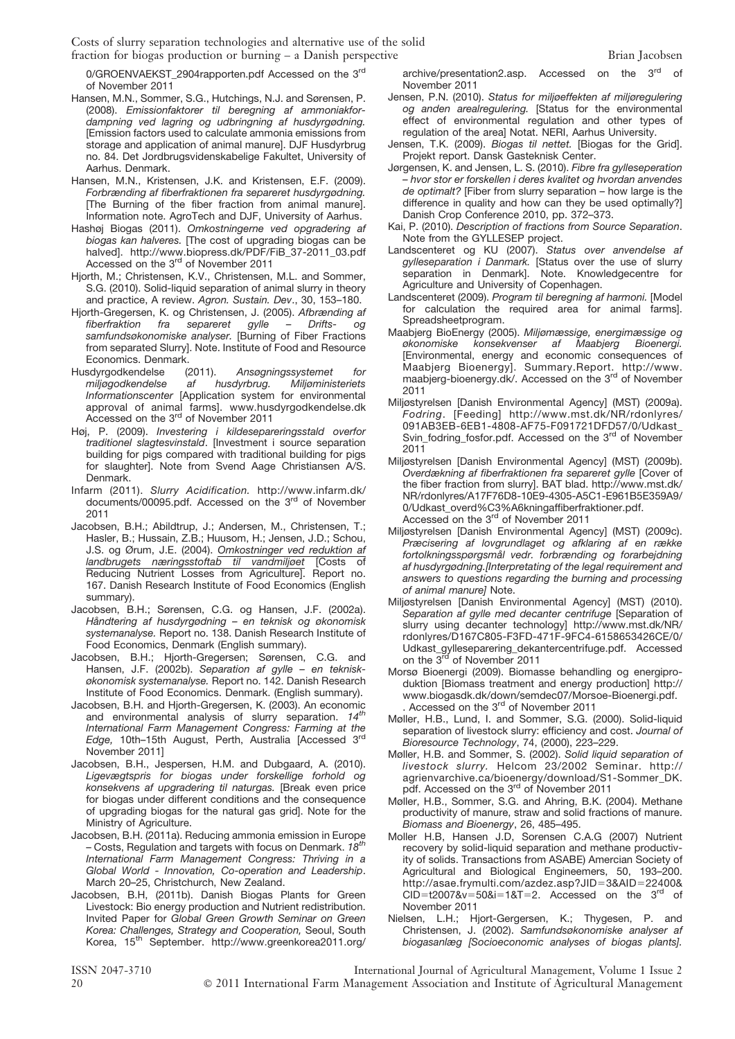0/GROENVAEKST\_2904rapporten.pdf Accessed on the 3rd of November 2011

- Hansen, M.N., Sommer, S.G., Hutchings, N.J. and Sørensen, P. (2008). Emissionfaktorer til beregning af ammoniakfordampning ved lagring og udbringning af husdyrgødning. [Emission factors used to calculate ammonia emissions from storage and application of animal manure]. DJF Husdyrbrug no. 84. Det Jordbrugsvidenskabelige Fakultet, University of Aarhus. Denmark.
- Hansen, M.N., Kristensen, J.K. and Kristensen, E.F. (2009). Forbrænding af fiberfraktionen fra separeret husdyrgødning. [The Burning of the fiber fraction from animal manure]. Information note. AgroTech and DJF, University of Aarhus.
- Hashøj Biogas (2011). Omkostningerne ved opgradering af biogas kan halveres. [The cost of upgrading biogas can be halved]. http://www.biopress.dk/PDF/FiB\_37-2011\_03.pdf Accessed on the 3rd of November 2011
- Hjorth, M.; Christensen, K.V., Christensen, M.L. and Sommer, S.G. (2010). Solid-liquid separation of animal slurry in theory and practice, A review. Agron. Sustain. Dev., 30, 153–180.
- Hjorth-Gregersen, K. og Christensen, J. (2005). Afbrænding af fiberfraktion fra separeret gylle Drifts- og fiberfraktion fra separeret gylle – Drifts- og samfundsøkonomiske analyser. [Burning of Fiber Fractions from separated Slurry]. Note. Institute of Food and Resource Economics. Denmark.
- Husdyrgodkendelse (2011). Ansøgningssystemet for<br>miljøgodkendelse af husdyrbrug. Miljøministeriets miljøgodkendelse af husdyrbrug. Miljøministeriets Informationscenter [Application system for environmental approval of animal farms]. www.husdyrgodkendelse.dk Accessed on the 3<sup>rd</sup> of November 2011
- Høj, P. (2009). Investering i kildesepareringsstald overfor traditionel slagtesvinstald. [Investment i source separation building for pigs compared with traditional building for pigs for slaughter]. Note from Svend Aage Christiansen A/S. Denmark.
- Infarm (2011). Slurry Acidification. http://www.infarm.dk/ documents/00095.pdf. Accessed on the 3<sup>rd</sup> of November 2011
- Jacobsen, B.H.; Abildtrup, J.; Andersen, M., Christensen, T.; Hasler, B.; Hussain, Z.B.; Huusom, H.; Jensen, J.D.; Schou, J.S. og Ørum, J.E. (2004). Omkostninger ved reduktion af landbrugets næringsstoftab til vandmiljøet [Costs of Reducing Nutrient Losses from Agriculture]. Report no. 167. Danish Research Institute of Food Economics (English summary).
- Jacobsen, B.H.; Sørensen, C.G. og Hansen, J.F. (2002a). Håndtering af husdyrgødning – en teknisk og økonomisk systemanalyse. Report no. 138. Danish Research Institute of Food Economics, Denmark (English summary).
- Jacobsen, B.H.; Hjorth-Gregersen; Sørensen, C.G. and Hansen, J.F. (2002b). Separation af gylle – en tekniskøkonomisk systemanalyse. Report no. 142. Danish Research Institute of Food Economics. Denmark. (English summary).
- Jacobsen, B.H. and Hjorth-Gregersen, K. (2003). An economic and environmental analysis of slurry separation.  $14<sup>th</sup>$ International Farm Management Congress: Farming at the Edge, 10th-15th August, Perth, Australia [Accessed 3rd November 2011]
- Jacobsen, B.H., Jespersen, H.M. and Dubgaard, A. (2010). Ligevægtspris for biogas under forskellige forhold og konsekvens af upgradering til naturgas. [Break even price for biogas under different conditions and the consequence of upgrading biogas for the natural gas grid]. Note for the Ministry of Agriculture.
- Jacobsen, B.H. (2011a). Reducing ammonia emission in Europe – Costs, Regulation and targets with focus on Denmark. 18 $^{th}$ International Farm Management Congress: Thriving in a Global World - Innovation, Co-operation and Leadership. March 20–25, Christchurch, New Zealand.
- Jacobsen, B.H, (2011b). Danish Biogas Plants for Green Livestock: Bio energy production and Nutrient redistribution. Invited Paper for Global Green Growth Seminar on Green Korea: Challenges, Strategy and Cooperation, Seoul, South Korea, 15<sup>th</sup> September. http://www.greenkorea2011.org/

archive/presentation2.asp. Accessed on the 3<sup>rd</sup> of November 2011

- Jensen, P.N. (2010). Status for miljøeffekten af miljøregulering og anden arealregulering. [Status for the environmental effect of environmental regulation and other types of regulation of the area] Notat. NERI, Aarhus University.
- Jensen, T.K. (2009). Biogas til nettet. [Biogas for the Grid]. Projekt report. Dansk Gasteknisk Center.
- Jørgensen, K. and Jensen, L. S. (2010). Fibre fra gylleseperation – hvor stor er forskellen i deres kvalitet og hvordan anvendes de optimalt? [Fiber from slurry separation – how large is the difference in quality and how can they be used optimally?] Danish Crop Conference 2010, pp. 372–373.
- Kai, P. (2010). Description of fractions from Source Separation. Note from the GYLLESEP project.
- Landscenteret og KU (2007). Status over anvendelse af gylleseparation i Danmark. [Status over the use of slurry separation in Denmark]. Note. Knowledgecentre for Agriculture and University of Copenhagen.
- Landscenteret (2009). Program til beregning af harmoni. [Model for calculation the required area for animal farms]. Spreadsheetprogram.
- Maabjerg BioEnergy (2005). Miljømæssige, energimæssige og økonomiske konsekvenser af Maabjerg Bioenergi. [Environmental, energy and economic consequences of Maabjerg Bioenergy]. Summary.Report. http://www.<br>maabjerg-bioenergy.dk/. Accessed on the 3<sup>rd</sup> of November 2011
- Miljøstyrelsen [Danish Environmental Agency] (MST) (2009a). Fodring. [Feeding] http://www.mst.dk/NR/rdonlyres/ 091AB3EB-6EB1-4808-AF75-F091721DFD57/0/Udkast\_ Svin\_fodring\_fosfor.pdf. Accessed on the 3rd of November 2011
- Miljøstyrelsen [Danish Environmental Agency] (MST) (2009b). Overdækning af fiberfraktionen fra separeret gylle [Cover of the fiber fraction from slurry]. BAT blad. http://www.mst.dk/ NR/rdonlyres/A17F76D8-10E9-4305-A5C1-E961B5E359A9/ 0/Udkast\_overd%C3%A6kningaffiberfraktioner.pdf. Accessed on the 3<sup>rd</sup> of November 2011
- Miljøstyrelsen [Danish Environmental Agency] (MST) (2009c). Præcisering af lovgrundlaget og afklaring af en række fortolkningsspørgsmål vedr. forbrænding og forarbejdning af husdyrgødning.[Interpretating of the legal requirement and answers to questions regarding the burning and processing of animal manure] Note.
- Miljøstyrelsen [Danish Environmental Agency] (MST) (2010). Separation af gylle med decanter centrifuge [Separation of slurry using decanter technology] http://www.mst.dk/NR/ rdonlyres/D167C805-F3FD-471F-9FC4-6158653426CE/0/ Udkast\_gylleseparering\_dekantercentrifuge.pdf. Accessed on the 3<sup>rd</sup> of November 2011
- Morsø Bioenergi (2009). Biomasse behandling og energiproduktion [Biomass treatment and energy production] http:// www.biogasdk.dk/down/semdec07/Morsoe-Bioenergi.pdf. . Accessed on the 3<sup>rd</sup> of November 2011
- Møller, H.B., Lund, I. and Sommer, S.G. (2000). Solid-liquid separation of livestock slurry: efficiency and cost. Journal of Bioresource Technology, 74, (2000), 223–229.
- Møller, H.B. and Sommer, S. (2002). Solid liquid separation of livestock slurry. Helcom 23/2002 Seminar. http:// agrienvarchive.ca/bioenergy/download/S1-Sommer\_DK. pdf. Accessed on the 3<sup>rd</sup> of November 2011
- Møller, H.B., Sommer, S.G. and Ahring, B.K. (2004). Methane productivity of manure, straw and solid fractions of manure. Biomass and Bioenergy, 26, 485–495.
- Moller H.B, Hansen J.D, Sorensen C.A.G (2007) Nutrient recovery by solid-liquid separation and methane productivity of solids. Transactions from ASABE) Amercian Society of Agricultural and Biological Engineemers, 50, 193–200. http://asae.frymulti.com/azdez.asp?JID=3&AID=22400&  $CID=t2007&v=50&i=1&T=2.$  Accessed on the 3<sup>rd</sup> of November 2011
- Nielsen, L.H.; Hjort-Gergersen, K.; Thygesen, P. and Christensen, J. (2002). Samfundsøkonomiske analyser af biogasanlæg [Socioeconomic analyses of biogas plants].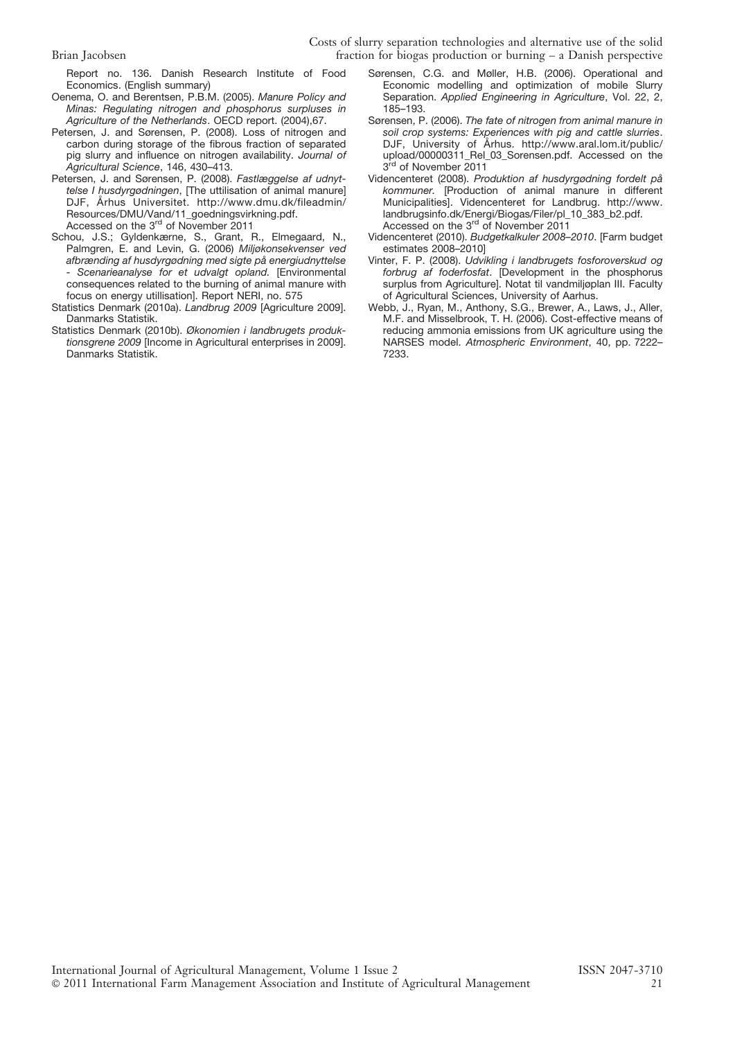Report no. 136. Danish Research Institute of Food Economics. (English summary)

- Oenema, O. and Berentsen, P.B.M. (2005). Manure Policy and Minas: Regulating nitrogen and phosphorus surpluses in Agriculture of the Netherlands. OECD report. (2004),67.
- Petersen, J. and Sørensen, P. (2008). Loss of nitrogen and carbon during storage of the fibrous fraction of separated pig slurry and influence on nitrogen availability. Journal of Agricultural Science, 146, 430–413.
- Petersen, J. and Sørensen, P. (2008). Fastlæggelse af udnyttelse I husdyrgødningen, [The uttilisation of animal manure] DJF, Århus Universitet. http://www.dmu.dk/fileadmin/ Resources/DMU/Vand/11\_goedningsvirkning.pdf. Accessed on the 3<sup>rd</sup> of November 2011
- Schou, J.S.; Gyldenkærne, S., Grant, R., Elmegaard, N., Palmgren, E. and Levin, G. (2006) Miljøkonsekvenser ved afbrænding af husdyrgødning med sigte på energiudnyttelse Scenarieanalyse for et udvalgt opland. [Environmental consequences related to the burning of animal manure with focus on energy utillisation]. Report NERI, no. 575
- Statistics Denmark (2010a). Landbrug 2009 [Agriculture 2009]. Danmarks Statistik.
- Statistics Denmark (2010b). Økonomien i landbrugets produktionsgrene 2009 [Income in Agricultural enterprises in 2009]. Danmarks Statistik.
- Sørensen, C.G. and Møller, H.B. (2006). Operational and Economic modelling and optimization of mobile Slurry Separation. Applied Engineering in Agriculture, Vol. 22, 2, 185–193.
- Sørensen, P. (2006). The fate of nitrogen from animal manure in soil crop systems: Experiences with pig and cattle slurries. DJF, University of Århus. http://www.aral.lom.it/public/ upload/00000311\_Rel\_03\_Sorensen.pdf. Accessed on the 3<sup>rd</sup> of November 2011
- Videncenteret (2008). Produktion af husdyrgødning fordelt på kommuner. [Production of animal manure in different Municipalities]. Videncenteret for Landbrug. http://www. landbrugsinfo.dk/Energi/Biogas/Filer/pl\_10\_383\_b2.pdf. Accessed on the  $3<sup>rd</sup>$  of November 2011
- Videncenteret (2010). Budgetkalkuler 2008–2010. [Farm budget estimates 2008–2010]
- Vinter, F. P. (2008). Udvikling i landbrugets fosforoverskud og forbrug af foderfosfat. [Development in the phosphorus surplus from Agriculture]. Notat til vandmiljøplan III. Faculty of Agricultural Sciences, University of Aarhus.
- Webb, J., Ryan, M., Anthony, S.G., Brewer, A., Laws, J., Aller, M.F. and Misselbrook, T. H. (2006). Cost-effective means of reducing ammonia emissions from UK agriculture using the NARSES model. Atmospheric Environment, 40, pp. 7222– 7233.